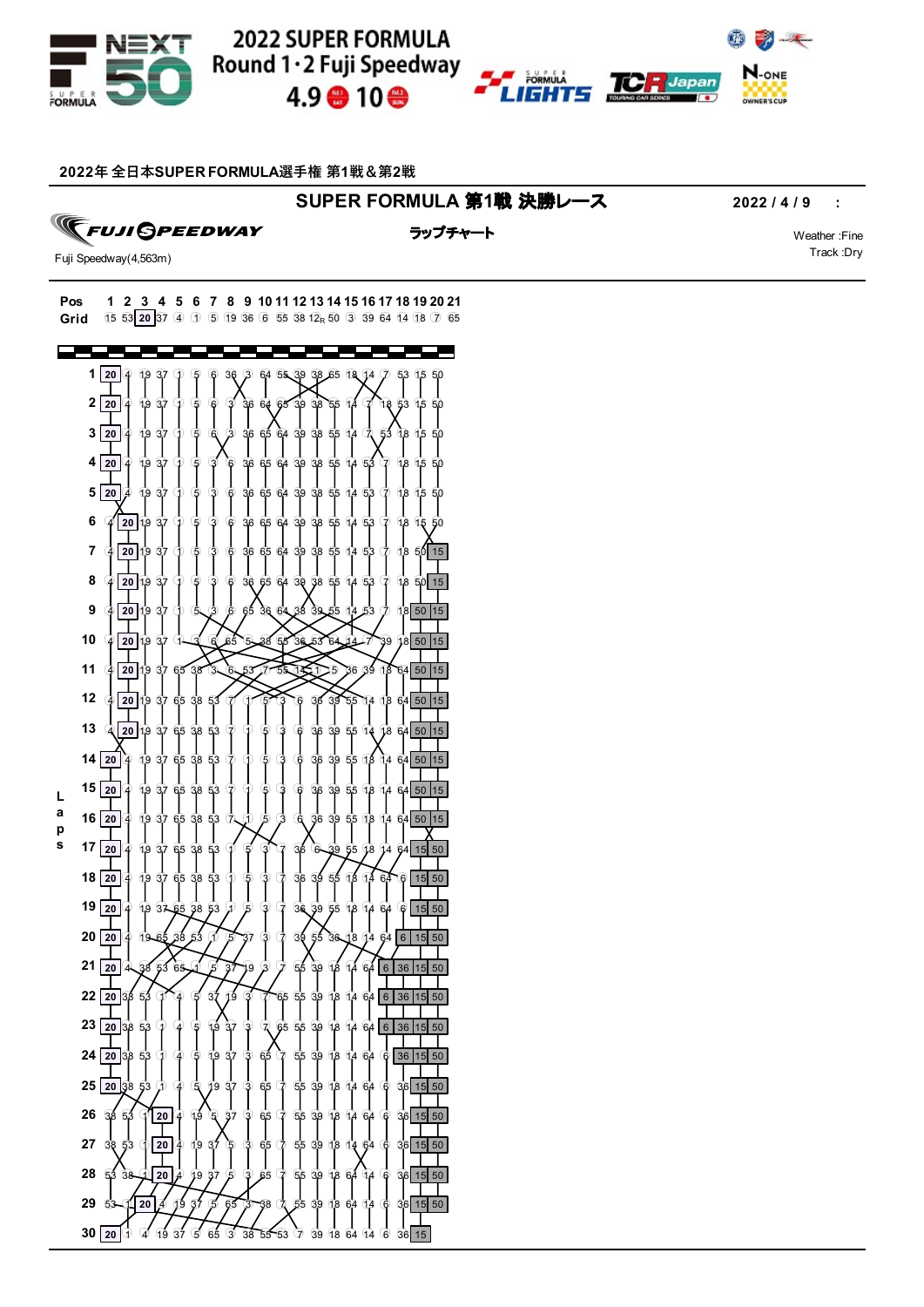

# 2022 SUPER FORMULA Round 1 · 2 Fuji Speedway  $4.9 \oplus 10 \oplus$



## **年 全⽇本SUPER FORMULA選⼿権 第1戦&第2戦**

## **SUPER FORMULA 第1戦 決勝レース 2022/4/9 :**

 $\sqrt{2}$ 

**TFUJI GPEEDWAY** 

ラップチャート マンディング・シーク Weather :Fine

Track :Dry

Fuji Speedway(4,563m)

### **Pos 1 2 3 4 5 6 7 8 9 10 11 12 13 14 15 16 17 18 19 20 21 Grid**